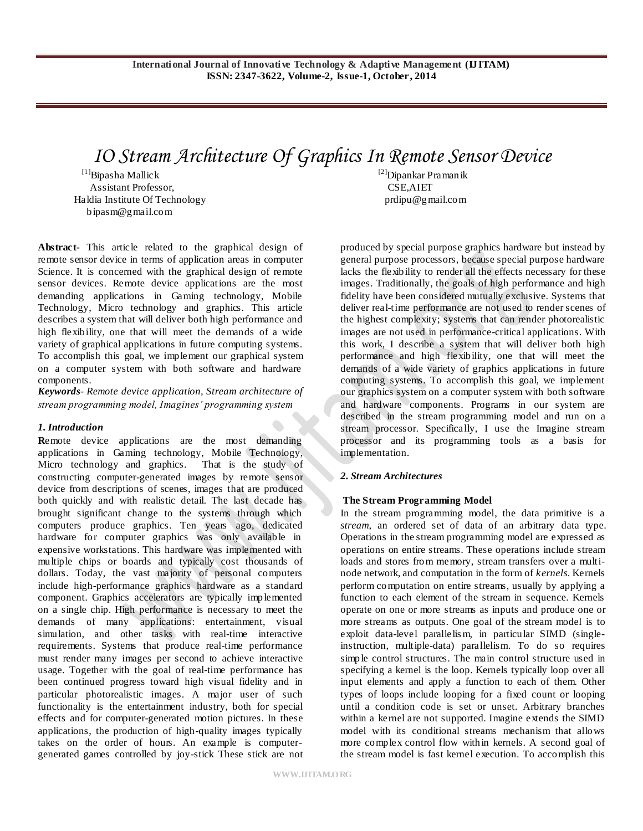*IO Stream Architecture Of Graphics In Remote Sensor Device*

[1]Bipasha Mallick [2]Dipankar Pramanik Assistant Professor, CSE,AIET Haldia Institute Of Technology prdipu@gmail.com bipasm@gmail.com

**Abstract-** This article related to the graphical design of remote sensor device in terms of application areas in computer Science. It is concerned with the graphical design of remote sensor devices. Remote device applications are the most demanding applications in Gaming technology, Mobile Technology, Micro technology and graphics. This article describes a system that will deliver both high performance and high flexibility, one that will meet the demands of a wide variety of graphical applications in future computing systems. To accomplish this goal, we implement our graphical system on a computer system with both software and hardware components.

*Keywords- Remote device application, Stream architecture of stream programming model, Imagines' programming system*

### *1. Introduction*

**R**emote device applications are the most demanding applications in Gaming technology, Mobile Technology, Micro technology and graphics. That is the study of constructing computer-generated images by remote sensor device from descriptions of scenes, images that are produced both quickly and with realistic detail. The last decade has brought significant change to the systems through which computers produce graphics. Ten years ago, dedicated hardware for computer graphics was only available in expensive workstations. This hardware was implemented with multiple chips or boards and typically cost thousands of dollars. Today, the vast majority of personal computers include high-performance graphics hardware as a standard component. Graphics accelerators are typically implemented on a single chip. High performance is necessary to meet the demands of many applications: entertainment, visual simulation, and other tasks with real-time interactive requirements. Systems that produce real-time performance must render many images per second to achieve interactive usage. Together with the goal of real-time performance has been continued progress toward high visual fidelity and in particular photorealistic images. A major user of such functionality is the entertainment industry, both for special effects and for computer-generated motion pictures. In these applications, the production of high-quality images typically takes on the order of hours. An example is computergenerated games controlled by joy-stick These stick are not

produced by special purpose graphics hardware but instead by general purpose processors, because special purpose hardware lacks the flexibility to render all the effects necessary for these images. Traditionally, the goals of high performance and high fidelity have been considered mutually exclusive. Systems that deliver real-time performance are not used to render scenes of the highest complexity; systems that can render photorealistic images are not used in performance-critical applications. With this work, I describe a system that will deliver both high performance and high flexibility, one that will meet the demands of a wide variety of graphics applications in future computing systems. To accomplish this goal, we implement our graphics system on a computer system with both software and hardware components. Programs in our system are described in the stream programming model and run on a stream processor. Specifically, I use the Imagine stream processor and its programming tools as a basis for implementation.

# *2. Stream Architectures*

# **The Stream Programming Model**

In the stream programming model, the data primitive is a *stream*, an ordered set of data of an arbitrary data type. Operations in the stream programming model are expressed as operations on entire streams. These operations include stream loads and stores from memory, stream transfers over a multinode network, and computation in the form of *kernels*. Kernels perform computation on entire streams, usually by applying a function to each element of the stream in sequence. Kernels operate on one or more streams as inputs and produce one or more streams as outputs. One goal of the stream model is to exploit data-level parallelis m, in particular SIMD (singleinstruction, multiple-data) parallelism. To do so requires simple control structures. The main control structure used in specifying a kernel is the loop. Kernels typically loop over all input elements and apply a function to each of them. Other types of loops include looping for a fixed count or looping until a condition code is set or unset. Arbitrary branches within a kernel are not supported. Imagine extends the SIMD model with its conditional streams mechanism that allows more complex control flow within kernels. A second goal of the stream model is fast kernel execution. To accomplish this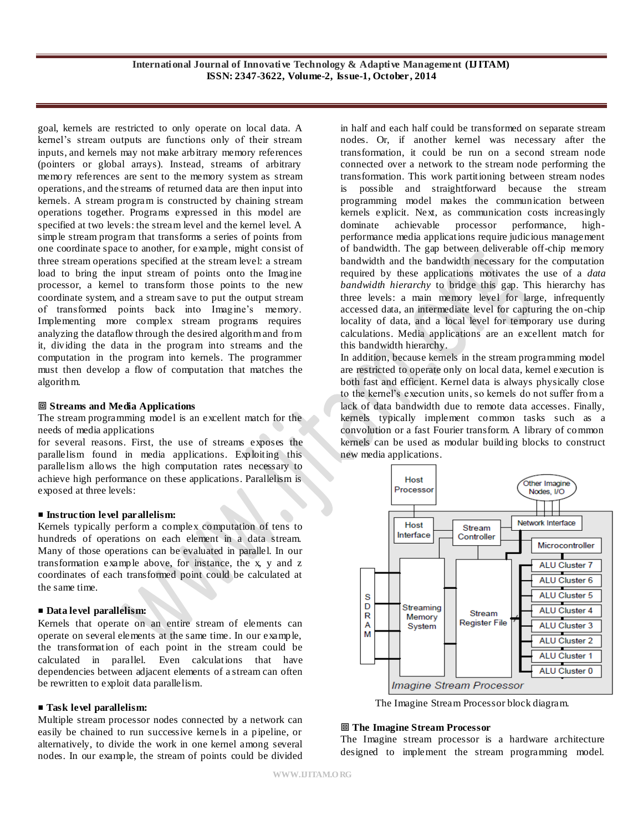goal, kernels are restricted to only operate on local data. A kernel's stream outputs are functions only of their stream inputs, and kernels may not make arbitrary memory references (pointers or global arrays). Instead, streams of arbitrary memory references are sent to the memory system as stream operations, and the streams of returned data are then input into kernels. A stream program is constructed by chaining stream operations together. Programs expressed in this model are specified at two levels: the stream level and the kernel level. A simple stream program that transforms a series of points from one coordinate space to another, for example, might consist of three stream operations specified at the stream level: a stream load to bring the input stream of points onto the Imagine processor, a kernel to transform those points to the new coordinate system, and a stream save to put the output stream of transformed points back into Imagine's memory. Implementing more complex stream programs requires analyzing the dataflow through the desired algorithm and from it, dividing the data in the program into streams and the computation in the program into kernels. The programmer must then develop a flow of computation that matches the algorithm.

### **Streams and Media Applications**

The stream programming model is an excellent match for the needs of media applications

for several reasons. First, the use of streams exposes the parallelism found in media applications. Exploiting this parallelism allows the high computation rates necessary to achieve high performance on these applications. Parallelism is exposed at three levels:

#### **Instruction level parallelism:**

Kernels typically perform a complex computation of tens to hundreds of operations on each element in a data stream. Many of those operations can be evaluated in parallel. In our transformation example above, for instance, the x, y and z coordinates of each transformed point could be calculated at the same time.

## **Data level parallelism:**

Kernels that operate on an entire stream of elements can operate on several elements at the same time. In our example, the transformation of each point in the stream could be calculated in parallel. Even calculations that have dependencies between adjacent elements of a stream can often be rewritten to exploit data parallelism.

#### **Task level parallelism:**

Multiple stream processor nodes connected by a network can easily be chained to run successive kernels in a pipeline, or alternatively, to divide the work in one kernel among several nodes. In our example, the stream of points could be divided

in half and each half could be transformed on separate stream nodes. Or, if another kernel was necessary after the transformation, it could be run on a second stream node connected over a network to the stream node performing the transformation. This work partitioning between stream nodes is possible and straightforward because the stream programming model makes the communication between kernels explicit. Next, as communication costs increasingly dominate achievable processor performance, highperformance media applications require judicious management of bandwidth. The gap between deliverable off-chip memory bandwidth and the bandwidth necessary for the computation required by these applications motivates the use of a *data bandwidth hierarchy* to bridge this gap. This hierarchy has three levels: a main memory level for large, infrequently accessed data, an intermediate level for capturing the on-chip locality of data, and a local level for temporary use during calculations. Media applications are an excellent match for this bandwidth hierarchy.

In addition, because kernels in the stream programming model are restricted to operate only on local data, kernel execution is both fast and efficient. Kernel data is always physically close to the kernel's execution units, so kernels do not suffer from a lack of data bandwidth due to remote data accesses. Finally, kernels typically implement common tasks such as a convolution or a fast Fourier transform. A library of common kernels can be used as modular building blocks to construct new media applications.



The Imagine Stream Processor block diagram.

## **The Imagine Stream Processor**

The Imagine stream processor is a hardware architecture designed to implement the stream programming model.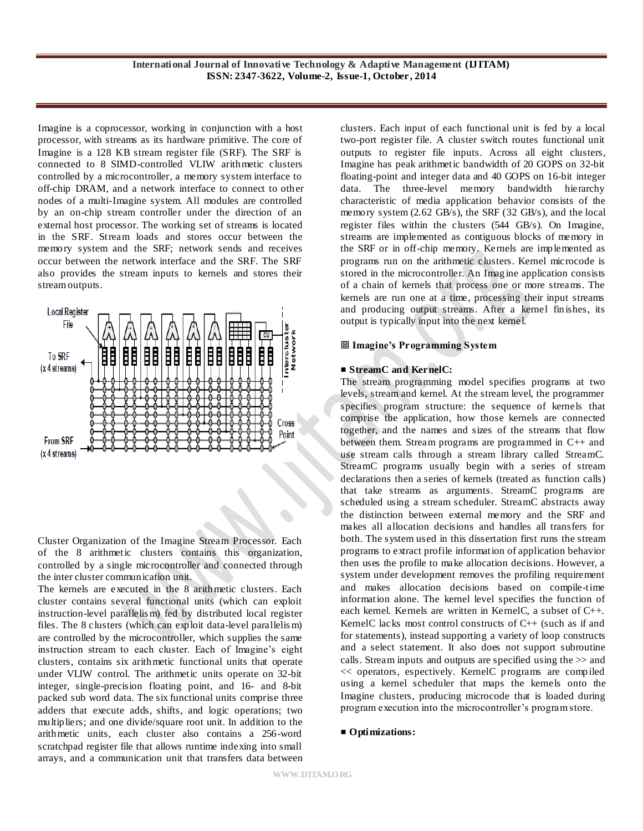Imagine is a coprocessor, working in conjunction with a host processor, with streams as its hardware primitive. The core of Imagine is a 128 KB stream register file (SRF). The SRF is connected to 8 SIMD-controlled VLIW arithmetic clusters controlled by a microcontroller, a memory system interface to off-chip DRAM, and a network interface to connect to other nodes of a multi-Imagine system. All modules are controlled by an on-chip stream controller under the direction of an external host processor. The working set of streams is located in the SRF. Stream loads and stores occur between the memory system and the SRF; network sends and receives occur between the network interface and the SRF. The SRF also provides the stream inputs to kernels and stores their stream outputs.



Cluster Organization of the Imagine Stream Processor. Each of the 8 arithmetic clusters contains this organization, controlled by a single microcontroller and connected through the inter cluster communication unit.

The kernels are executed in the 8 arithmetic clusters. Each cluster contains several functional units (which can exploit instruction-level parallelis m) fed by distributed local register files. The 8 clusters (which can exploit data-level parallelis m) are controlled by the microcontroller, which supplies the same instruction stream to each cluster. Each of Imagine's eight clusters, contains six arithmetic functional units that operate under VLIW control. The arithmetic units operate on 32-bit integer, single-precision floating point, and 16- and 8-bit packed sub word data. The six functional units comprise three adders that execute adds, shifts, and logic operations; two multipliers; and one divide/square root unit. In addition to the arithmetic units, each cluster also contains a 256-word scratchpad register file that allows runtime indexing into small arrays, and a communication unit that transfers data between clusters. Each input of each functional unit is fed by a local two-port register file. A cluster switch routes functional unit outputs to register file inputs. Across all eight clusters, Imagine has peak arithmetic bandwidth of 20 GOPS on 32-bit floating-point and integer data and 40 GOPS on 16-bit integer data. The three-level memory bandwidth hierarchy characteristic of media application behavior consists of the memory system (2.62 GB/s), the SRF (32 GB/s), and the local register files within the clusters (544 GB/s). On Imagine, streams are implemented as contiguous blocks of memory in the SRF or in off-chip memory. Kernels are implemented as programs run on the arithmetic clusters. Kernel microcode is stored in the microcontroller. An Imagine application consists of a chain of kernels that process one or more streams. The kernels are run one at a time, processing their input streams and producing output streams. After a kernel finishes, its output is typically input into the next kernel.

### **Imagine's Programming System**

## **StreamC and KernelC:**

The stream programming model specifies programs at two levels, stream and kernel. At the stream level, the programmer specifies program structure: the sequence of kernels that comprise the application, how those kernels are connected together, and the names and sizes of the streams that flow between them. Stream programs are programmed in C++ and use stream calls through a stream library called StreamC. StreamC programs usually begin with a series of stream declarations then a series of kernels (treated as function calls) that take streams as arguments. StreamC programs are scheduled using a stream scheduler. StreamC abstracts away the distinction between external memory and the SRF and makes all allocation decisions and handles all transfers for both. The system used in this dissertation first runs the stream programs to extract profile information of application behavior then uses the profile to make allocation decisions. However, a system under development removes the profiling requirement and makes allocation decisions based on compile-time information alone. The kernel level specifies the function of each kernel. Kernels are written in KernelC, a subset of C++. KernelC lacks most control constructs of  $C_{++}$  (such as if and for statements), instead supporting a variety of loop constructs and a select statement. It also does not support subroutine calls. Stream inputs and outputs are specified using the >> and << operators, espectively. KernelC programs are compiled using a kernel scheduler that maps the kernels onto the Imagine clusters, producing microcode that is loaded during program execution into the microcontroller's program store.

## **Optimizations:**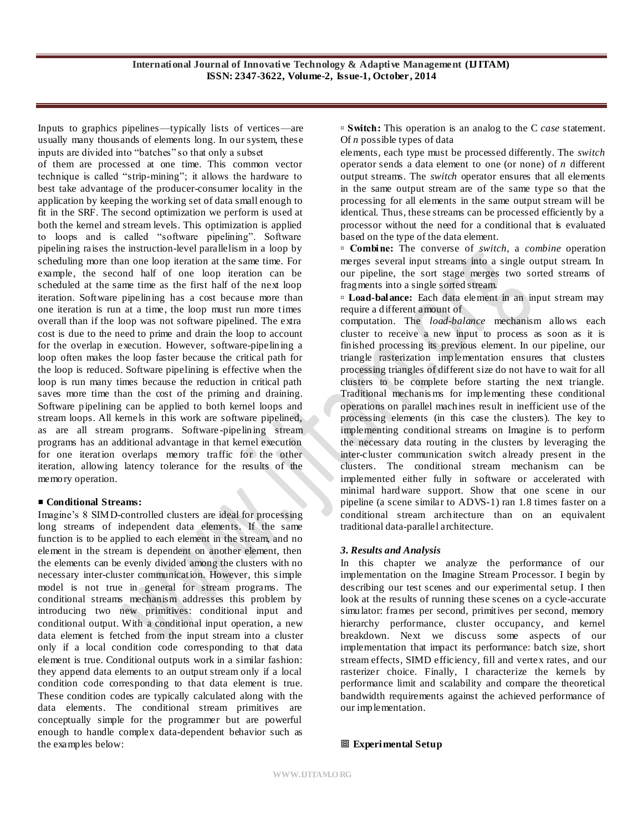Inputs to graphics pipelines—typically lists of vertices—are usually many thousands of elements long. In our system, these inputs are divided into "batches" so that only a subset

of them are processed at one time. This common vector technique is called "strip-mining"; it allows the hardware to best take advantage of the producer-consumer locality in the application by keeping the working set of data small enough to fit in the SRF. The second optimization we perform is used at both the kernel and stream levels. This optimization is applied to loops and is called "software pipelining". Software pipelining raises the instruction-level parallelism in a loop by scheduling more than one loop iteration at the same time. For example, the second half of one loop iteration can be scheduled at the same time as the first half of the next loop iteration. Software pipelining has a cost because more than one iteration is run at a time, the loop must run more times overall than if the loop was not software pipelined. The extra cost is due to the need to prime and drain the loop to account for the overlap in execution. However, software-pipelining a loop often makes the loop faster because the critical path for the loop is reduced. Software pipelining is effective when the loop is run many times because the reduction in critical path saves more time than the cost of the priming and draining. Software pipelining can be applied to both kernel loops and stream loops. All kernels in this work are software pipelined, as are all stream programs. Software -pipelining stream programs has an additional advantage in that kernel execution for one iteration overlaps memory traffic for the other iteration, allowing latency tolerance for the results of the memory operation.

# **Conditional Streams:**

Imagine's 8 SIMD-controlled clusters are ideal for processing long streams of independent data elements. If the same function is to be applied to each element in the stream, and no element in the stream is dependent on another element, then the elements can be evenly divided among the clusters with no necessary inter-cluster communication. However, this simple model is not true in general for stream programs. The conditional streams mechanism addresses this problem by introducing two new primitives: conditional input and conditional output. With a conditional input operation, a new data element is fetched from the input stream into a cluster only if a local condition code corresponding to that data element is true. Conditional outputs work in a similar fashion: they append data elements to an output stream only if a local condition code corresponding to that data element is true. These condition codes are typically calculated along with the data elements. The conditional stream primitives are conceptually simple for the programmer but are powerful enough to handle complex data-dependent behavior such as the examples below:

**▫ Switch:** This operation is an analog to the C *case* statement. Of *n* possible types of data

elements, each type must be processed differently. The *switch*  operator sends a data element to one (or none) of *n* different output streams. The *switch* operator ensures that all elements in the same output stream are of the same type so that the processing for all elements in the same output stream will be identical. Thus, these streams can be processed efficiently by a processor without the need for a conditional that is evaluated based on the type of the data element.

**▫ Combine:** The converse of *switch*, a *combine* operation merges several input streams into a single output stream. In our pipeline, the sort stage merges two sorted streams of fragments into a single sorted stream.

**▫ Load-balance:** Each data element in an input stream may require a different amount of

computation. The *load-balance* mechanism allows each cluster to receive a new input to process as soon as it is finished processing its previous element. In our pipeline, our triangle rasterization implementation ensures that clusters processing triangles of different size do not have to wait for all clusters to be complete before starting the next triangle. Traditional mechanis ms for implementing these conditional operations on parallel machines result in inefficient use of the processing elements (in this case the clusters). The key to implementing conditional streams on Imagine is to perform the necessary data routing in the clusters by leveraging the inter-cluster communication switch already present in the clusters. The conditional stream mechanism can be implemented either fully in software or accelerated with minimal hardware support. Show that one scene in our pipeline (a scene similar to ADVS-1) ran 1.8 times faster on a conditional stream architecture than on an equivalent traditional data-parallel architecture.

# *3. Results and Analysis*

In this chapter we analyze the performance of our implementation on the Imagine Stream Processor. I begin by describing our test scenes and our experimental setup. I then look at the results of running these scenes on a cycle-accurate simulator: frames per second, primitives per second, memory hierarchy performance, cluster occupancy, and kernel breakdown. Next we discuss some aspects of our implementation that impact its performance: batch size, short stream effects, SIMD efficiency, fill and vertex rates, and our rasterizer choice. Finally, I characterize the kernels by performance limit and scalability and compare the theoretical bandwidth requirements against the achieved performance of our implementation.

# **Experimental Setup**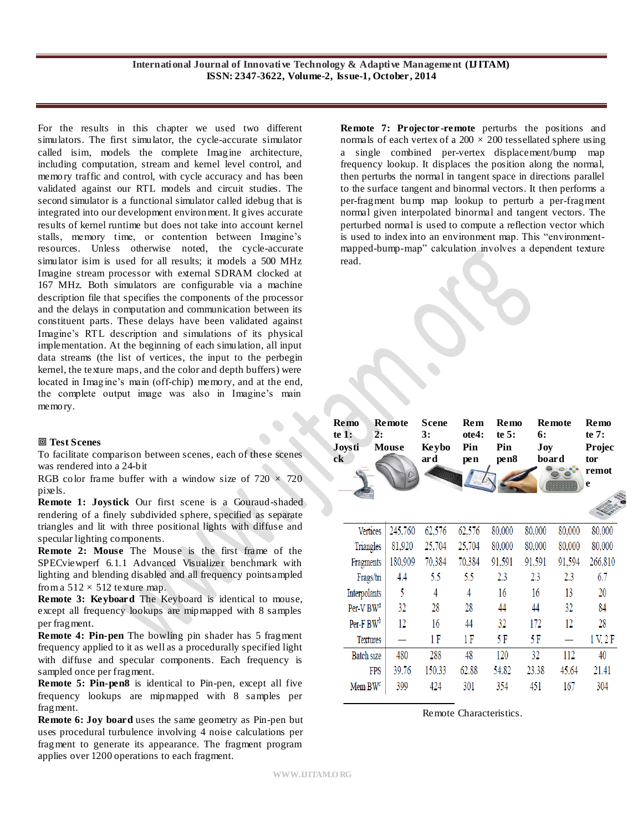For the results in this chapter we used two different simulators. The first simulator, the cycle-accurate simulator called isim, models the complete Imagine architecture, including computation, stream and kernel level control, and memory traffic and control, with cycle accuracy and has been validated against our RTL models and circuit studies. The second simulator is a functional simulator called idebug that is integrated into our development environment. It gives accurate results of kernel runtime but does not take into account kernel stalls, memory time, or contention between Imagine's resources. Unless otherwise noted, the cycle-accurate simulator isim is used for all results; it models a 500 MHz Imagine stream processor with external SDRAM clocked at 167 MHz. Both simulators are configurable via a machine description file that specifies the components of the processor and the delays in computation and communication between its constituent parts. These delays have been validated against Imagine's RTL description and simulations of its physical implementation. At the beginning of each simulation, all input data streams (the list of vertices, the input to the perbegin kernel, the texture maps, and the color and depth buffers) were located in Imagine's main (off-chip) memory, and at the end, the complete output image was also in Imagine's main memory.

### **Test Scenes**

To facilitate comparison between scenes, each of these scenes was rendered into a 24-bit

RGB color frame buffer with a window size of  $720 \times 720$ pixels.

**Remote 1: Joystick** Our first scene is a Gouraud-shaded rendering of a finely subdivided sphere, specified as separate triangles and lit with three positional lights with diffuse and specular lighting components.

**Remote 2: Mouse** The Mouse is the first frame of the SPECviewperf 6.1.1 Advanced Visualizer benchmark with lighting and blending disabled and all frequency pointsampled from a  $512 \times 512$  texture map.

**Remote 3: Keyboard** The Keyboard is identical to mouse, except all frequency lookups are mipmapped with 8 samples per fragment.

**Remote 4: Pin-pen** The bowling pin shader has 5 fragment frequency applied to it as well as a procedurally specified light with diffuse and specular components. Each frequency is sampled once per fragment.

**Remote 5: Pin-pen8** is identical to Pin-pen, except all five frequency lookups are mipmapped with 8 samples per fragment.

**Remote 6: Joy board** uses the same geometry as Pin-pen but uses procedural turbulence involving 4 noise calculations per fragment to generate its appearance. The fragment program applies over 1200 operations to each fragment.

**Remote 7: Projector -remote** perturbs the positions and normals of each vertex of a 200 *×* 200 tessellated sphere using a single combined per-vertex displacement/bump map frequency lookup. It displaces the position along the normal, then perturbs the normal in tangent space in directions parallel to the surface tangent and binormal vectors. It then performs a per-fragment bump map lookup to perturb a per-fragment normal given interpolated binormal and tangent vectors. The perturbed normal is used to compute a reflection vector which is used to index into an environment map. This "environmentmapped-bump-map" calculation involves a dependent texture read.

| <b>Remo</b><br>te $1:$<br>Joysti |                       | <b>Remote</b><br>2: | Scene<br>3:<br>Keybo | <b>Rem</b><br>ote4:<br>Pin | <b>Remo</b><br>te $5:$ | Remote<br>6:<br>$\mathbf{J}\mathbf{o}\mathbf{y}$ |        | <b>Remo</b><br>te $7:$ |
|----------------------------------|-----------------------|---------------------|----------------------|----------------------------|------------------------|--------------------------------------------------|--------|------------------------|
|                                  |                       | <b>Mouse</b>        |                      |                            | Pin                    |                                                  |        | Projec                 |
| ck                               |                       |                     | ard                  | pen                        | pe n8                  | board                                            |        | tor                    |
|                                  |                       | $\mathbb{O}$        |                      |                            |                        |                                                  |        | remot<br>e             |
|                                  |                       |                     |                      |                            |                        |                                                  |        |                        |
|                                  |                       |                     |                      |                            |                        |                                                  |        |                        |
|                                  | Vertices              | 245,760             | 62,576               | 62,576                     | 80,000                 | 80,000                                           | 80,000 | 80,000                 |
|                                  | Triangles             | 81,920              | 25,704               | 25,704                     | 80,000                 | 80,000                                           | 80,000 | 80,000                 |
|                                  | Fragments             | 180,909             | 70,384               | 70,384                     | 91,591                 | 91,591                                           | 91,594 | 266,810                |
|                                  | Frags/tri             | 4.4                 | 5.5                  | 5.5                        | 2.3                    | 2.3                                              | 2.3    | 6.7                    |
|                                  | Interpolants          | 5                   | 4                    | 4                          | 16                     | 16                                               | 13     | 20                     |
|                                  | Per-V BW <sup>a</sup> | 32                  | 28                   | 28                         | 44                     | 44                                               | 32     | 84                     |
|                                  | Per-F B $W^b$         | 12                  | 16                   | 44                         | 32                     | 172                                              | 12     | 28                     |
|                                  | <b>Textures</b>       |                     | 1 F                  | 1 F                        | 5 F                    | 5 F                                              |        | 1 V, 2 F               |
|                                  | <b>Batch size</b>     | 480                 | 288                  | 48                         | 120                    | 32                                               | 112    | 40                     |
|                                  | <b>FPS</b>            | 39.76               | 150.33               | 62.88                      | 54.82                  | 23.38                                            | 45.64  | 21.41                  |
|                                  | Mem $BW^c$            | 399                 | 424                  | 301                        | 354                    | 451                                              | 167    | 304                    |
|                                  |                       |                     |                      |                            |                        |                                                  |        |                        |

Remote Characteristics.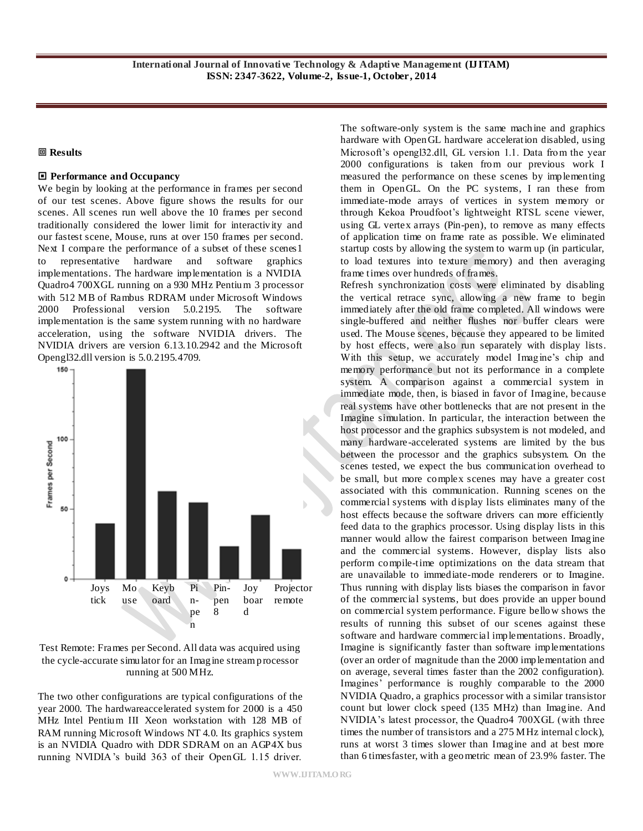#### **Results**

### **Performance and Occupancy**

We begin by looking at the performance in frames per second of our test scenes. Above figure shows the results for our scenes. All scenes run well above the 10 frames per second traditionally considered the lower limit for interactivity and our fastest scene, Mouse, runs at over 150 frames per second. Next I compare the performance of a subset of these scenes1 to representative hardware and software graphics implementations. The hardware implementation is a NVIDIA Quadro4 700XGL running on a 930 MHz Pentium 3 processor with 512 MB of Rambus RDRAM under Microsoft Windows 2000 Professional version 5.0.2195. The software implementation is the same system running with no hardware acceleration, using the software NVIDIA drivers. The NVIDIA drivers are version 6.13.10.2942 and the Microsoft Opengl32.dll version is 5.0.2195.4709.



Test Remote: Frames per Second. All data was acquired using the cycle-accurate simulator for an Imagine stream processor running at 500 MHz.

The two other configurations are typical configurations of the year 2000. The hardwareaccelerated system for 2000 is a 450 MHz Intel Pentium III Xeon workstation with 128 MB of RAM running Microsoft Windows NT 4.0. Its graphics system is an NVIDIA Quadro with DDR SDRAM on an AGP4X bus running NVIDIA's build 363 of their OpenGL 1.15 driver.

The software-only system is the same machine and graphics hardware with OpenGL hardware acceleration disabled, using Microsoft's opengl32.dll, GL version 1.1. Data from the year 2000 configurations is taken from our previous work I measured the performance on these scenes by implementing them in OpenGL. On the PC systems, I ran these from immediate-mode arrays of vertices in system memory or through Kekoa Proudfoot's lightweight RTSL scene viewer, using GL vertex arrays (Pin-pen), to remove as many effects of application time on frame rate as possible. We eliminated startup costs by allowing the system to warm up (in particular, to load textures into texture memory) and then averaging frame times over hundreds of frames.

Refresh synchronization costs were eliminated by disabling the vertical retrace sync, allowing a new frame to begin immediately after the old frame completed. All windows were single-buffered and neither flushes nor buffer clears were used. The Mouse scenes, because they appeared to be limited by host effects, were also run separately with display lists. With this setup, we accurately model Imagine's chip and memory performance but not its performance in a complete system. A comparison against a commercial system in immediate mode, then, is biased in favor of Imagine, because real systems have other bottlenecks that are not present in the Imagine simulation. In particular, the interaction between the host processor and the graphics subsystem is not modeled, and many hardware -accelerated systems are limited by the bus between the processor and the graphics subsystem. On the scenes tested, we expect the bus communication overhead to be small, but more complex scenes may have a greater cost associated with this communication. Running scenes on the commercial systems with display lists eliminates many of the host effects because the software drivers can more efficiently feed data to the graphics processor. Using display lists in this manner would allow the fairest comparison between Imagine and the commercial systems. However, display lists also perform compile-time optimizations on the data stream that are unavailable to immediate-mode renderers or to Imagine. Thus running with display lists biases the comparison in favor of the commercial systems, but does provide an upper bound on commercial system performance. Figure bellow shows the results of running this subset of our scenes against these software and hardware commercial implementations. Broadly, Imagine is significantly faster than software implementations (over an order of magnitude than the 2000 implementation and on average, several times faster than the 2002 configuration). Imagines' performance is roughly comparable to the 2000 NVIDIA Quadro, a graphics processor with a similar transistor count but lower clock speed (135 MHz) than Imagine. And NVIDIA's latest processor, the Quadro4 700XGL (with three times the number of transistors and a 275 MHz internal clock), runs at worst 3 times slower than Imagine and at best more than 6 timesfaster, with a geometric mean of 23.9% faster. The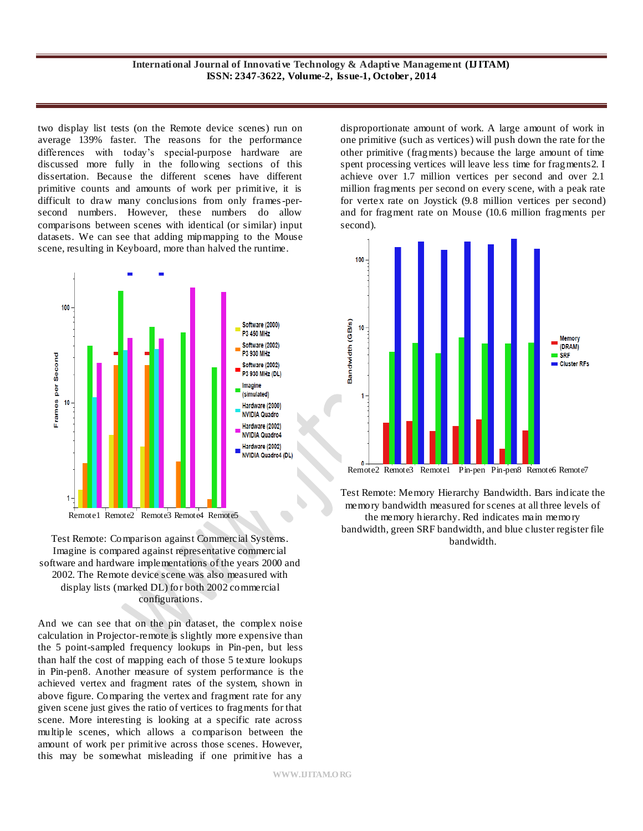two display list tests (on the Remote device scenes) run on average 139% faster. The reasons for the performance differences with today's special-purpose hardware are discussed more fully in the following sections of this dissertation. Because the different scenes have different primitive counts and amounts of work per primitive, it is difficult to draw many conclusions from only frames-persecond numbers. However, these numbers do allow comparisons between scenes with identical (or similar) input datasets. We can see that adding mipmapping to the Mouse scene, resulting in Keyboard, more than halved the runtime.



Test Remote: Comparison against Commercial Systems. Imagine is compared against representative commercial software and hardware implementations of the years 2000 and 2002. The Remote device scene was also measured with display lists (marked DL) for both 2002 commercial configurations.

And we can see that on the pin dataset, the complex noise calculation in Projector-remote is slightly more expensive than the 5 point-sampled frequency lookups in Pin-pen, but less than half the cost of mapping each of those 5 texture lookups in Pin-pen8. Another measure of system performance is the achieved vertex and fragment rates of the system, shown in above figure. Comparing the vertex and fragment rate for any given scene just gives the ratio of vertices to fragments for that scene. More interesting is looking at a specific rate across multiple scenes, which allows a comparison between the amount of work per primitive across those scenes. However, this may be somewhat misleading if one primitive has a disproportionate amount of work. A large amount of work in one primitive (such as vertices) will push down the rate for the other primitive (fragments) because the large amount of time spent processing vertices will leave less time for fragments2. I achieve over 1.7 million vertices per second and over 2.1 million fragments per second on every scene, with a peak rate for vertex rate on Joystick (9.8 million vertices per second) and for fragment rate on Mouse (10.6 million fragments per second).



Test Remote: Memory Hierarchy Bandwidth. Bars indicate the memory bandwidth measured for scenes at all three levels of the memory hierarchy. Red indicates main memory bandwidth, green SRF bandwidth, and blue cluster register file bandwidth.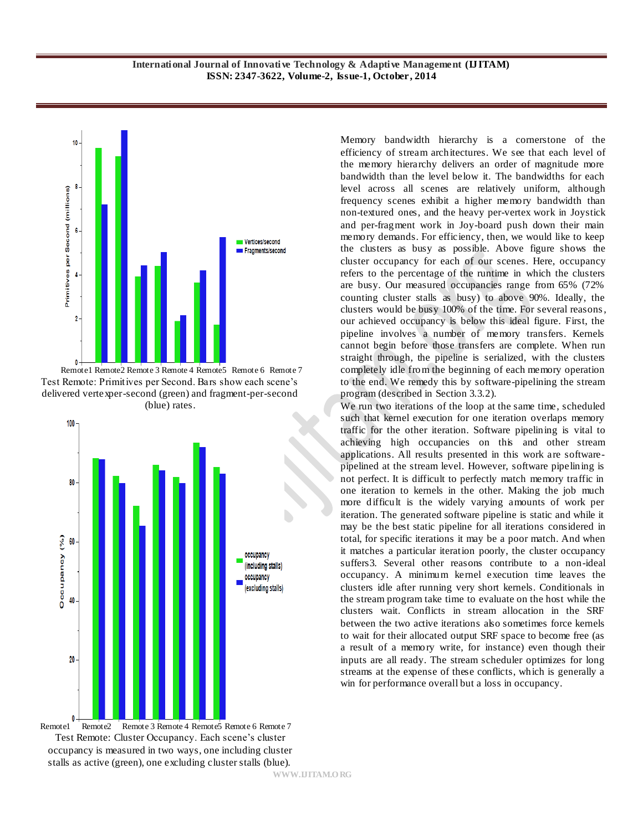

 Remote1 Remote2 Remote 3 Remote 4 Remote5 Remote 6 Remote 7 Test Remote: Primitives per Second. Bars show each scene's delivered vertexper-second (green) and fragment-per-second (blue) rates.



Remote1 Remote2 Remote 3 Remote 4 Remote5 Remote 6 Remote 7 Test Remote: Cluster Occupancy. Each scene's cluster occupancy is measured in two ways, one including cluster stalls as active (green), one excluding cluster stalls (blue).

Memory bandwidth hierarchy is a cornerstone of the efficiency of stream architectures. We see that each level of the memory hierarchy delivers an order of magnitude more bandwidth than the level below it. The bandwidths for each level across all scenes are relatively uniform, although frequency scenes exhibit a higher memory bandwidth than non-textured ones, and the heavy per-vertex work in Joystick and per-fragment work in Joy-board push down their main memory demands. For efficiency, then, we would like to keep the clusters as busy as possible. Above figure shows the cluster occupancy for each of our scenes. Here, occupancy refers to the percentage of the runtime in which the clusters are busy. Our measured occupancies range from 65% (72% counting cluster stalls as busy) to above 90%. Ideally, the clusters would be busy 100% of the time. For several reasons, our achieved occupancy is below this ideal figure. First, the pipeline involves a number of memory transfers. Kernels cannot begin before those transfers are complete. When run straight through, the pipeline is serialized, with the clusters completely idle from the beginning of each memory operation to the end. We remedy this by software-pipelining the stream program (described in Section 3.3.2).

We run two iterations of the loop at the same time, scheduled such that kernel execution for one iteration overlaps memory traffic for the other iteration. Software pipelining is vital to achieving high occupancies on this and other stream applications. All results presented in this work are softwarepipelined at the stream level. However, software pipelining is not perfect. It is difficult to perfectly match memory traffic in one iteration to kernels in the other. Making the job much more difficult is the widely varying amounts of work per iteration. The generated software pipeline is static and while it may be the best static pipeline for all iterations considered in total, for specific iterations it may be a poor match. And when it matches a particular iteration poorly, the cluster occupancy suffers3. Several other reasons contribute to a non-ideal occupancy. A minimum kernel execution time leaves the clusters idle after running very short kernels. Conditionals in the stream program take time to evaluate on the host while the clusters wait. Conflicts in stream allocation in the SRF between the two active iterations also sometimes force kernels to wait for their allocated output SRF space to become free (as a result of a memory write, for instance) even though their inputs are all ready. The stream scheduler optimizes for long streams at the expense of these conflicts, which is generally a win for performance overall but a loss in occupancy.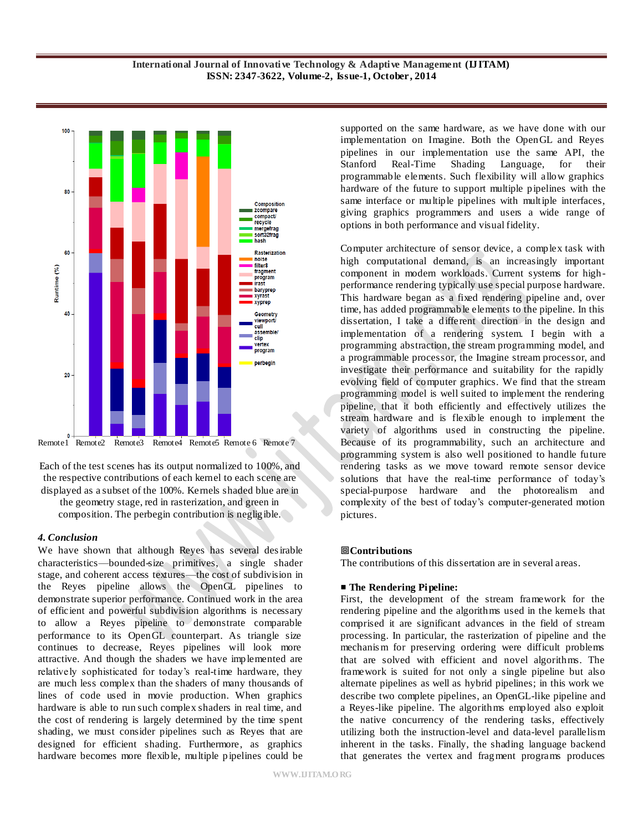

Remote1 Remote2 Remote3 Remote4 Remote5 Remote 6 Remote 7

Each of the test scenes has its output normalized to 100%, and the respective contributions of each kernel to each scene are displayed as a subset of the 100%. Kernels shaded blue are in the geometry stage, red in rasterization, and green in composition. The perbegin contribution is negligible.

# *4. Conclusion*

We have shown that although Reyes has several desirable characteristics—bounded-size primitives, a single shader stage, and coherent access textures—the cost of subdivision in the Reyes pipeline allows the OpenGL pipelines to demonstrate superior performance. Continued work in the area of efficient and powerful subdivision algorithms is necessary to allow a Reyes pipeline to demonstrate comparable performance to its OpenGL counterpart. As triangle size continues to decrease, Reyes pipelines will look more attractive. And though the shaders we have implemented are relatively sophisticated for today's real-time hardware, they are much less complex than the shaders of many thousands of lines of code used in movie production. When graphics hardware is able to run such complex shaders in real time, and the cost of rendering is largely determined by the time spent shading, we must consider pipelines such as Reyes that are designed for efficient shading. Furthermore, as graphics hardware becomes more flexible, multiple pipelines could be

supported on the same hardware, as we have done with our implementation on Imagine. Both the OpenGL and Reyes pipelines in our implementation use the same API, the Stanford Real-Time Shading Language, for their programmable elements. Such flexibility will allow graphics hardware of the future to support multiple pipelines with the same interface or multiple pipelines with multiple interfaces, giving graphics programmers and users a wide range of options in both performance and visual fidelity.

Computer architecture of sensor device, a complex task with high computational demand, is an increasingly important component in modern workloads. Current systems for highperformance rendering typically use special purpose hardware. This hardware began as a fixed rendering pipeline and, over time, has added programmable elements to the pipeline. In this dissertation, I take a different direction in the design and implementation of a rendering system. I begin with a programming abstraction, the stream programming model, and a programmable processor, the Imagine stream processor, and investigate their performance and suitability for the rapidly evolving field of computer graphics. We find that the stream programming model is well suited to implement the rendering pipeline, that it both efficiently and effectively utilizes the stream hardware and is flexible enough to implement the variety of algorithms used in constructing the pipeline. Because of its programmability, such an architecture and programming system is also well positioned to handle future rendering tasks as we move toward remote sensor device solutions that have the real-time performance of today's special-purpose hardware and the photorealism and complexity of the best of today's computer-generated motion pictures.

# **Contributions**

The contributions of this dissertation are in several areas.

# **The Rendering Pipeline:**

First, the development of the stream framework for the rendering pipeline and the algorithms used in the kernels that comprised it are significant advances in the field of stream processing. In particular, the rasterization of pipeline and the mechanis m for preserving ordering were difficult problems that are solved with efficient and novel algorithms. The framework is suited for not only a single pipeline but also alternate pipelines as well as hybrid pipelines; in this work we describe two complete pipelines, an OpenGL-like pipeline and a Reyes-like pipeline. The algorithms employed also exploit the native concurrency of the rendering tasks, effectively utilizing both the instruction-level and data-level parallelism inherent in the tasks. Finally, the shading language backend that generates the vertex and fragment programs produces